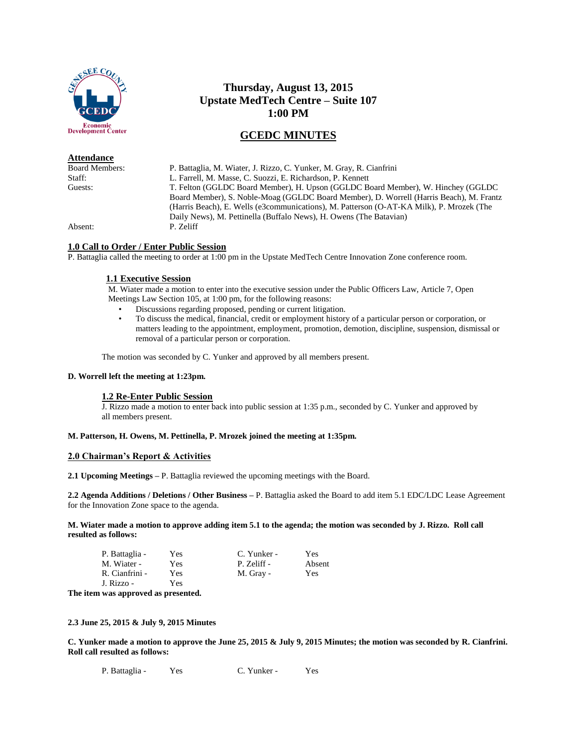

## **Attendance**

# **Thursday, August 13, 2015 Upstate MedTech Centre – Suite 107 1:00 PM**

# **GCEDC MINUTES**

Board Members: P. Battaglia, M. Wiater, J. Rizzo, C. Yunker, M. Gray, R. Cianfrini Staff: L. Farrell, M. Masse, C. Suozzi, E. Richardson, P. Kennett<br>
Cuests: T. Felton (GGLDC Board Member). H. Upson (GGLDC Bo T. Felton (GGLDC Board Member), H. Upson (GGLDC Board Member), W. Hinchey (GGLDC Board Member), S. Noble-Moag (GGLDC Board Member), D. Worrell (Harris Beach), M. Frantz (Harris Beach), E. Wells (e3communications), M. Patterson (O-AT-KA Milk), P. Mrozek (The Daily News), M. Pettinella (Buffalo News), H. Owens (The Batavian) Absent: P. Zeliff

## **1.0 Call to Order / Enter Public Session**

P. Battaglia called the meeting to order at 1:00 pm in the Upstate MedTech Centre Innovation Zone conference room.

## **1.1 Executive Session**

M. Wiater made a motion to enter into the executive session under the Public Officers Law, Article 7, Open Meetings Law Section 105, at 1:00 pm, for the following reasons:

- Discussions regarding proposed, pending or current litigation.
- To discuss the medical, financial, credit or employment history of a particular person or corporation, or matters leading to the appointment, employment, promotion, demotion, discipline, suspension, dismissal or removal of a particular person or corporation.

The motion was seconded by C. Yunker and approved by all members present.

#### **D. Worrell left the meeting at 1:23pm.**

#### **1.2 Re-Enter Public Session**

J. Rizzo made a motion to enter back into public session at 1:35 p.m., seconded by C. Yunker and approved by all members present.

# **M. Patterson, H. Owens, M. Pettinella, P. Mrozek joined the meeting at 1:35pm.**

## **2.0 Chairman's Report & Activities**

**2.1 Upcoming Meetings –** P. Battaglia reviewed the upcoming meetings with the Board.

**2.2 Agenda Additions / Deletions / Other Business –** P. Battaglia asked the Board to add item 5.1 EDC/LDC Lease Agreement for the Innovation Zone space to the agenda.

**M. Wiater made a motion to approve adding item 5.1 to the agenda; the motion was seconded by J. Rizzo. Roll call resulted as follows:**

| P. Battaglia - | Yes | C. Yunker - | Yes    |
|----------------|-----|-------------|--------|
| M. Wiater -    | Yes | P. Zeliff - | Absent |
| R. Cianfrini - | Yes | M. Gray -   | Yes    |
| J. Rizzo -     | Yes |             |        |

**The item was approved as presented.**

**2.3 June 25, 2015 & July 9, 2015 Minutes** 

**C. Yunker made a motion to approve the June 25, 2015 & July 9, 2015 Minutes; the motion was seconded by R. Cianfrini. Roll call resulted as follows:**

P. Battaglia - Yes C. Yunker - Yes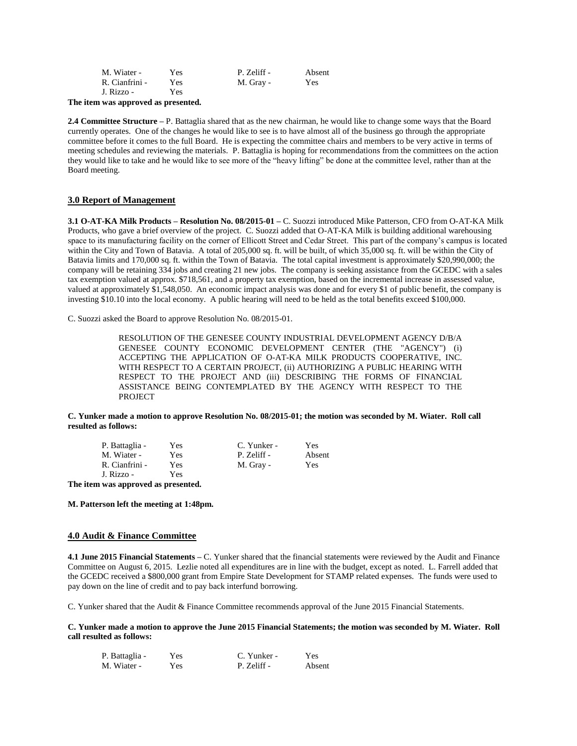| M. Wiater -    | Yes  | P. Zeliff - | Absent     |
|----------------|------|-------------|------------|
| R. Cianfrini - | Yes  | M. Gray -   | <b>Yes</b> |
| J. Rizzo -     | Yes. |             |            |

**The item was approved as presented.**

**2.4 Committee Structure** – P. Battaglia shared that as the new chairman, he would like to change some ways that the Board currently operates. One of the changes he would like to see is to have almost all of the business go through the appropriate committee before it comes to the full Board. He is expecting the committee chairs and members to be very active in terms of meeting schedules and reviewing the materials. P. Battaglia is hoping for recommendations from the committees on the action they would like to take and he would like to see more of the "heavy lifting" be done at the committee level, rather than at the Board meeting.

## **3.0 Report of Management**

**3.1 O-AT-KA Milk Products – Resolution No. 08/2015-01 –** C. Suozzi introduced Mike Patterson, CFO from O-AT-KA Milk Products, who gave a brief overview of the project. C. Suozzi added that O-AT-KA Milk is building additional warehousing space to its manufacturing facility on the corner of Ellicott Street and Cedar Street. This part of the company's campus is located within the City and Town of Batavia. A total of 205,000 sq. ft. will be built, of which 35,000 sq. ft. will be within the City of Batavia limits and 170,000 sq. ft. within the Town of Batavia. The total capital investment is approximately \$20,990,000; the company will be retaining 334 jobs and creating 21 new jobs. The company is seeking assistance from the GCEDC with a sales tax exemption valued at approx. \$718,561, and a property tax exemption, based on the incremental increase in assessed value, valued at approximately \$1,548,050. An economic impact analysis was done and for every \$1 of public benefit, the company is investing \$10.10 into the local economy. A public hearing will need to be held as the total benefits exceed \$100,000.

C. Suozzi asked the Board to approve Resolution No. 08/2015-01.

RESOLUTION OF THE GENESEE COUNTY INDUSTRIAL DEVELOPMENT AGENCY D/B/A GENESEE COUNTY ECONOMIC DEVELOPMENT CENTER (THE "AGENCY") (i) ACCEPTING THE APPLICATION OF O-AT-KA MILK PRODUCTS COOPERATIVE, INC. WITH RESPECT TO A CERTAIN PROJECT, (ii) AUTHORIZING A PUBLIC HEARING WITH RESPECT TO THE PROJECT AND (iii) DESCRIBING THE FORMS OF FINANCIAL ASSISTANCE BEING CONTEMPLATED BY THE AGENCY WITH RESPECT TO THE **PROJECT** 

**C. Yunker made a motion to approve Resolution No. 08/2015-01; the motion was seconded by M. Wiater. Roll call resulted as follows:**

| P. Battaglia - | Yes  | C. Yunker - | <b>Yes</b> |
|----------------|------|-------------|------------|
| M. Wiater -    | Yes  | P. Zeliff - | Absent     |
| R. Cianfrini - | Yes. | M. Gray -   | <b>Yes</b> |
| I Rizzo -      | Yes. |             |            |

**The item was approved as presented.**

**M. Patterson left the meeting at 1:48pm.** 

#### **4.0 Audit & Finance Committee**

**4.1 June 2015 Financial Statements –** C. Yunker shared that the financial statements were reviewed by the Audit and Finance Committee on August 6, 2015. Lezlie noted all expenditures are in line with the budget, except as noted. L. Farrell added that the GCEDC received a \$800,000 grant from Empire State Development for STAMP related expenses. The funds were used to pay down on the line of credit and to pay back interfund borrowing.

C. Yunker shared that the Audit & Finance Committee recommends approval of the June 2015 Financial Statements.

**C. Yunker made a motion to approve the June 2015 Financial Statements; the motion was seconded by M. Wiater. Roll call resulted as follows:**

| P. Battaglia - | Yes | C. Yunker - | Yes    |
|----------------|-----|-------------|--------|
| M. Wiater -    | Yes | P. Zeliff - | Absent |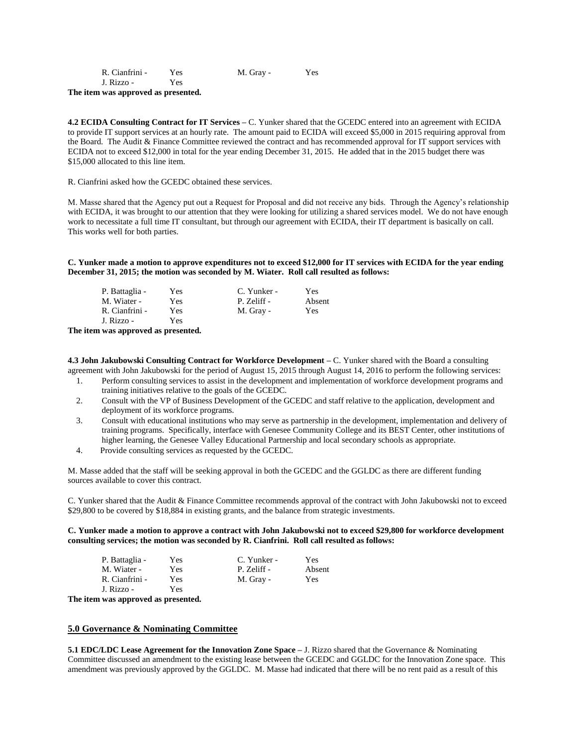| R. Cianfrini - | Yes. | M. Gray - | Yes |
|----------------|------|-----------|-----|
| J. Rizzo -     | Yes  |           |     |

**The item was approved as presented.**

**4.2 ECIDA Consulting Contract for IT Services –** C. Yunker shared that the GCEDC entered into an agreement with ECIDA to provide IT support services at an hourly rate. The amount paid to ECIDA will exceed \$5,000 in 2015 requiring approval from the Board. The Audit & Finance Committee reviewed the contract and has recommended approval for IT support services with ECIDA not to exceed \$12,000 in total for the year ending December 31, 2015. He added that in the 2015 budget there was \$15,000 allocated to this line item.

R. Cianfrini asked how the GCEDC obtained these services.

M. Masse shared that the Agency put out a Request for Proposal and did not receive any bids. Through the Agency's relationship with ECIDA, it was brought to our attention that they were looking for utilizing a shared services model. We do not have enough work to necessitate a full time IT consultant, but through our agreement with ECIDA, their IT department is basically on call. This works well for both parties.

**C. Yunker made a motion to approve expenditures not to exceed \$12,000 for IT services with ECIDA for the year ending December 31, 2015; the motion was seconded by M. Wiater. Roll call resulted as follows:**

| P. Battaglia - | Yes | C. Yunker - | Yes.   |
|----------------|-----|-------------|--------|
| M. Wiater -    | Yes | P. Zeliff - | Absent |
| R. Cianfrini - | Yes | M. Gray -   | Yes    |
| J. Rizzo -     | Yes |             |        |

**The item was approved as presented.**

**4.3 John Jakubowski Consulting Contract for Workforce Development –** C. Yunker shared with the Board a consulting agreement with John Jakubowski for the period of August 15, 2015 through August 14, 2016 to perform the following services:

- 1. Perform consulting services to assist in the development and implementation of workforce development programs and training initiatives relative to the goals of the GCEDC.
- 2. Consult with the VP of Business Development of the GCEDC and staff relative to the application, development and deployment of its workforce programs.
- 3. Consult with educational institutions who may serve as partnership in the development, implementation and delivery of training programs. Specifically, interface with Genesee Community College and its BEST Center, other institutions of higher learning, the Genesee Valley Educational Partnership and local secondary schools as appropriate.
- 4. Provide consulting services as requested by the GCEDC.

M. Masse added that the staff will be seeking approval in both the GCEDC and the GGLDC as there are different funding sources available to cover this contract.

C. Yunker shared that the Audit & Finance Committee recommends approval of the contract with John Jakubowski not to exceed \$29,800 to be covered by \$18,884 in existing grants, and the balance from strategic investments.

### **C. Yunker made a motion to approve a contract with John Jakubowski not to exceed \$29,800 for workforce development consulting services; the motion was seconded by R. Cianfrini. Roll call resulted as follows:**

| P. Battaglia - | Yes  | C. Yunker - | Yes    |
|----------------|------|-------------|--------|
| M. Wiater -    | Yes. | P. Zeliff - | Absent |
| R. Cianfrini - | Yes  | M. Gray -   | Yes    |
| J. Rizzo -     | Yes  |             |        |

**The item was approved as presented.**

#### **5.0 Governance & Nominating Committee**

**5.1 EDC/LDC Lease Agreement for the Innovation Zone Space –** J. Rizzo shared that the Governance & Nominating Committee discussed an amendment to the existing lease between the GCEDC and GGLDC for the Innovation Zone space. This amendment was previously approved by the GGLDC. M. Masse had indicated that there will be no rent paid as a result of this